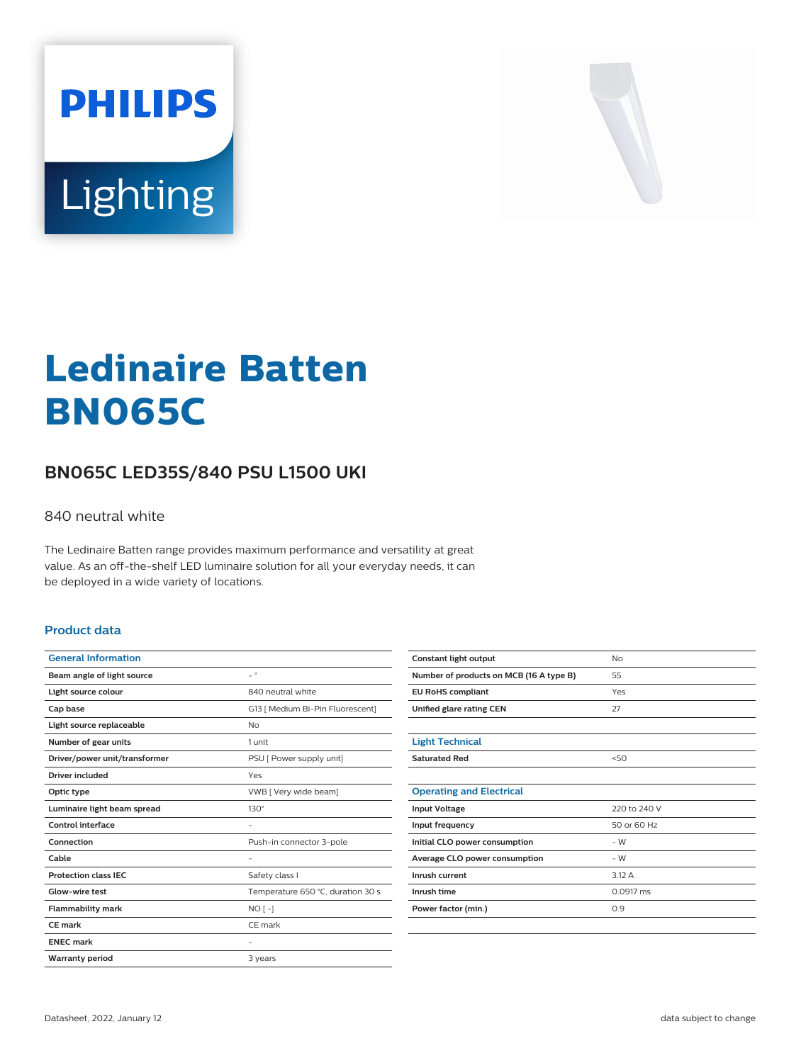



# **Ledinaire Batten BN065C**

## **BN065C LED35S/840 PSU L1500 UKI**

#### 840 neutral white

The Ledinaire Batten range provides maximum performance and versatility at great value. As an off-the-shelf LED luminaire solution for all your everyday needs, it can be deployed in a wide variety of locations.

#### **Product data**

| <b>General Information</b>    |                                   |
|-------------------------------|-----------------------------------|
| Beam angle of light source    | $ ^{\circ}$                       |
| Light source colour           | 840 neutral white                 |
| Cap base                      | G13   Medium Bi-Pin Fluorescent]  |
| Light source replaceable      | No                                |
| Number of gear units          | 1 unit                            |
| Driver/power unit/transformer | PSU [ Power supply unit]          |
| Driver included               | Yes                               |
| Optic type                    | VWB [ Very wide beam]             |
| Luminaire light beam spread   | $130^\circ$                       |
| Control interface             |                                   |
| Connection                    | Push-in connector 3-pole          |
| Cable                         |                                   |
| <b>Protection class IEC</b>   | Safety class I                    |
| Glow-wire test                | Temperature 650 °C, duration 30 s |
| <b>Flammability mark</b>      | $NO$ [-]                          |
| CE mark                       | CE mark                           |
| <b>ENEC mark</b>              |                                   |
| <b>Warranty period</b>        | 3 years                           |

| Constant light output                   | No           |
|-----------------------------------------|--------------|
| Number of products on MCB (16 A type B) | 55           |
| <b>EU RoHS compliant</b>                | Yes          |
| Unified glare rating CEN                | 27           |
|                                         |              |
| <b>Light Technical</b>                  |              |
| <b>Saturated Red</b>                    | 50           |
|                                         |              |
| <b>Operating and Electrical</b>         |              |
| <b>Input Voltage</b>                    | 220 to 240 V |
| Input frequency                         | 50 or 60 Hz  |
| Initial CLO power consumption           | $-W$         |
| Average CLO power consumption           | $-W$         |
| Inrush current                          | 3.12 A       |
| Inrush time                             | 0.0917 ms    |
| Power factor (min.)                     | 0.9          |
|                                         |              |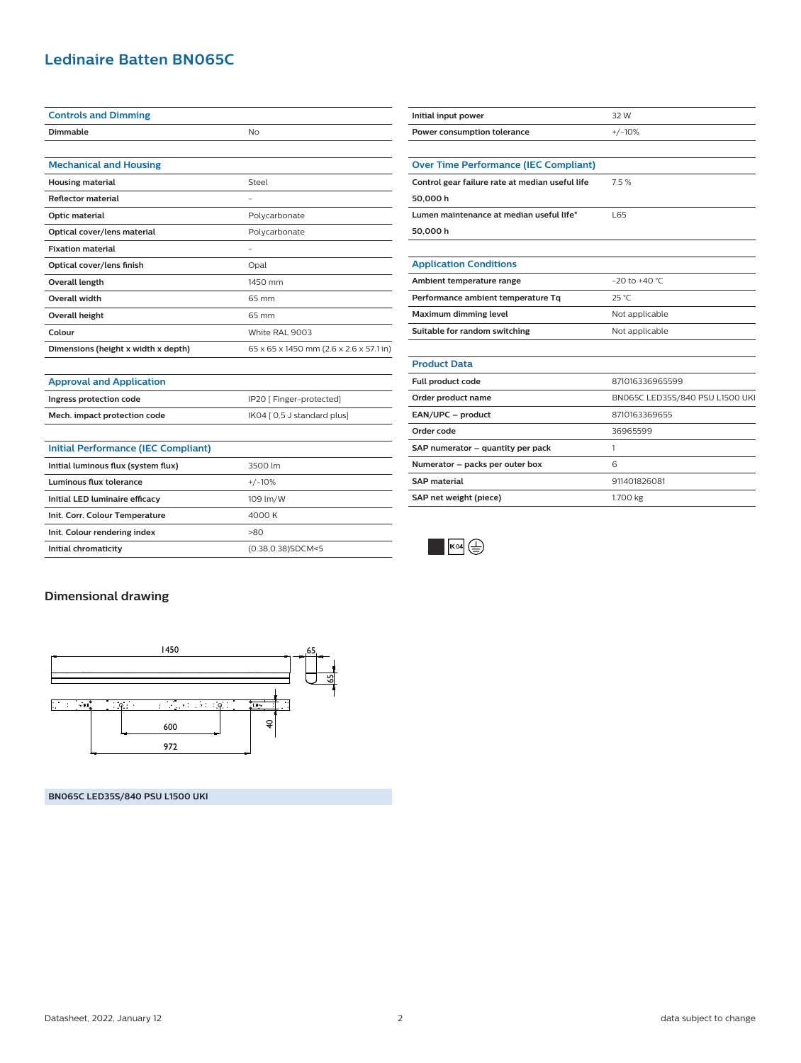### **Ledinaire Batten BN065C**

| <b>Controls and Dimming</b>         |                                         |
|-------------------------------------|-----------------------------------------|
| Dimmable                            | No                                      |
|                                     |                                         |
| <b>Mechanical and Housing</b>       |                                         |
| <b>Housing material</b>             | Steel                                   |
| <b>Reflector material</b>           | ۰                                       |
| Optic material                      | Polycarbonate                           |
| Optical cover/lens material         | Polycarbonate                           |
| <b>Fixation material</b>            | ٠                                       |
| Optical cover/lens finish           | Opal                                    |
| Overall length                      | 1450 mm                                 |
| <b>Overall width</b>                | 65 mm                                   |
| Overall height                      | 65 mm                                   |
| Colour                              | White RAL 9003                          |
| Dimensions (height x width x depth) | 65 x 65 x 1450 mm (2.6 x 2.6 x 57.1 in) |
|                                     |                                         |
| <b>Approval and Application</b>     |                                         |

**Ingress protection code IP20** [ Finger-protected] **Mech. impact protection code** IK04 [ 0.5 J standard plus]

**Initial chromaticity** (0.38,0.38)SDCM<5

| Initial input power                             | 32 W                            |
|-------------------------------------------------|---------------------------------|
| Power consumption tolerance                     | $+/-10%$                        |
|                                                 |                                 |
| <b>Over Time Performance (IEC Compliant)</b>    |                                 |
| Control gear failure rate at median useful life | 7.5%                            |
| 50,000 h                                        |                                 |
| Lumen maintenance at median useful life*        | L65                             |
| 50,000 h                                        |                                 |
|                                                 |                                 |
| <b>Application Conditions</b>                   |                                 |
| Ambient temperature range                       | $-20$ to $+40$ °C               |
| Performance ambient temperature Tq              | 25 °C                           |
| Maximum dimming level                           | Not applicable                  |
| Suitable for random switching                   | Not applicable                  |
|                                                 |                                 |
| <b>Product Data</b>                             |                                 |
| Full product code                               | 871016336965599                 |
| Order product name                              | BN065C LED35S/840 PSU L1500 UKI |
| EAN/UPC - product                               | 8710163369655                   |
| Order code                                      | 36965599                        |
| SAP numerator - quantity per pack               | 1                               |
| Numerator - packs per outer box                 | 6                               |
| <b>SAP</b> material                             | 911401826081                    |
| SAP net weight (piece)                          | 1.700 kg                        |
|                                                 |                                 |



# **Dimensional drawing**

**Initial Performance (IEC Compliant)**

**Initial luminous flux (system flux)** 3500 lm **Luminous flux tolerance** +/-10% **Initial LED luminaire efficacy** 109 lm/W **Init. Corr. Colour Temperature** 4000 K **Init. Colour rendering index** >80



**BN065C LED35S/840 PSU L1500 UKI**

Datasheet, 2022, January 12 2 data subject to change